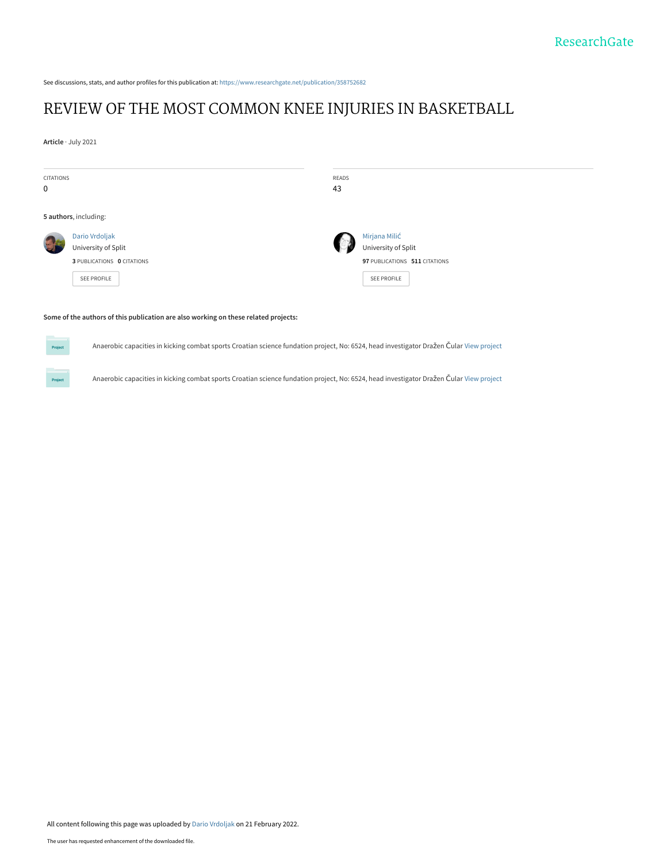See discussions, stats, and author profiles for this publication at: [https://www.researchgate.net/publication/358752682](https://www.researchgate.net/publication/358752682_REVIEW_OF_THE_MOST_COMMON_KNEE_INJURIES_IN_BASKETBALL?enrichId=rgreq-f89be96f8c3e484080fd91daf2dc74c3-XXX&enrichSource=Y292ZXJQYWdlOzM1ODc1MjY4MjtBUzoxMTI2MDM0MzIxNzUyMDY1QDE2NDU0Nzg5MTE1MTA%3D&el=1_x_2&_esc=publicationCoverPdf)

# [REVIEW OF THE MOST COMMON KNEE INJURIES IN BASKETBALL](https://www.researchgate.net/publication/358752682_REVIEW_OF_THE_MOST_COMMON_KNEE_INJURIES_IN_BASKETBALL?enrichId=rgreq-f89be96f8c3e484080fd91daf2dc74c3-XXX&enrichSource=Y292ZXJQYWdlOzM1ODc1MjY4MjtBUzoxMTI2MDM0MzIxNzUyMDY1QDE2NDU0Nzg5MTE1MTA%3D&el=1_x_3&_esc=publicationCoverPdf)

**Article** · July 2021

Project

**Project** 

| CITATIONS<br>0 |                                                                                    | READS<br>43 |                                                                                             |
|----------------|------------------------------------------------------------------------------------|-------------|---------------------------------------------------------------------------------------------|
|                | 5 authors, including:                                                              |             |                                                                                             |
|                | Dario Vrdoljak<br>University of Split<br>3 PUBLICATIONS 0 CITATIONS<br>SEE PROFILE |             | Mirjana Milić<br>University of Split<br>97 PUBLICATIONS 511 CITATIONS<br><b>SEE PROFILE</b> |

### **Some of the authors of this publication are also working on these related projects:**

Anaerobic capacities in kicking combat sports Croatian science fundation project, No: 6524, head investigator Dražen Čular [View project](https://www.researchgate.net/project/Anaerobic-capacities-in-kicking-combat-sports-Croatian-science-fundation-project-No-6524-head-investigator-Drazen-Cular-2?enrichId=rgreq-f89be96f8c3e484080fd91daf2dc74c3-XXX&enrichSource=Y292ZXJQYWdlOzM1ODc1MjY4MjtBUzoxMTI2MDM0MzIxNzUyMDY1QDE2NDU0Nzg5MTE1MTA%3D&el=1_x_9&_esc=publicationCoverPdf)

Anaerobic capacities in kicking combat sports Croatian science fundation project, No: 6524, head investigator Dražen Čular [View project](https://www.researchgate.net/project/Anaerobic-capacities-in-kicking-combat-sports-Croatian-science-fundation-project-No-6524-head-investigator-Drazen-Cular?enrichId=rgreq-f89be96f8c3e484080fd91daf2dc74c3-XXX&enrichSource=Y292ZXJQYWdlOzM1ODc1MjY4MjtBUzoxMTI2MDM0MzIxNzUyMDY1QDE2NDU0Nzg5MTE1MTA%3D&el=1_x_9&_esc=publicationCoverPdf)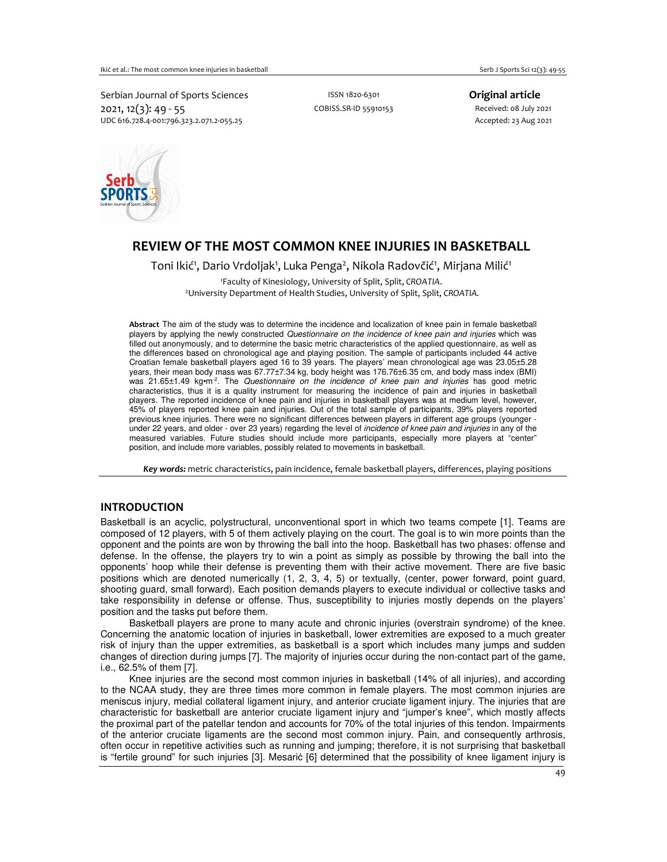Serbian Journal of Sports Sciences **ISSN 1820-6301** Company **Original article** 2021, 12(3): 49 - 55<br>
2021, 12(3): 49 - 55<br>
2021 MDC 616.728.4-001:796.323.2.071.2-055.25 UDC 616.728.4-001:796.323.2.071.2-055.25



## **REVIEW OF THE MOST COMMON KNEE INJURIES IN BASKETBALL**

Toni Ikić<sup>1</sup>, Dario Vrdoljak<sup>1</sup>, Luka Penga<sup>2</sup>, Nikola Radovčić<sup>1</sup>, Mirjana Milić<sup>1</sup> <sup>1</sup>Faculty of Kinesiology, University of Split, Split, *CROATIA*.

<sup>2</sup>University Department of Health Studies, University of Split, Split, *CROATIA.*

**Abstract** The aim of the study was to determine the incidence and localization of knee pain in female basketball players by applying the newly constructed Questionnaire on the incidence of knee pain and injuries which was filled out anonymously, and to determine the basic metric characteristics of the applied questionnaire, as well as the differences based on chronological age and playing position. The sample of participants included 44 active Croatian female basketball players aged 16 to 39 years. The players' mean chronological age was 23.05±5.28 years, their mean body mass was 67.77±7.34 kg, body height was 176.76±6.35 cm, and body mass index (BMI) was 21.65±1.49 kg·m<sup>-2</sup>. The Questionnaire on the incidence of knee pain and injuries has good metric characteristics, thus it is a quality instrument for measuring the incidence of pain and injuries in basketball players. The reported incidence of knee pain and injuries in basketball players was at medium level, however, 45% of players reported knee pain and injuries. Out of the total sample of participants, 39% players reported previous knee injuries. There were no significant differences between players in different age groups (younger under 22 years, and older - over 23 years) regarding the level of *incidence of knee pain and injuries* in any of the measured variables. Future studies should include more participants, especially more players at "center" position, and include more variables, possibly related to movements in basketball.

*Key words:* metric characteristics, pain incidence, female basketball players, differences, playing positions

## **INTRODUCTION**

Basketball is an acyclic, polystructural, unconventional sport in which two teams compete [1]. Teams are composed of 12 players, with 5 of them actively playing on the court. The goal is to win more points than the opponent and the points are won by throwing the ball into the hoop. Basketball has two phases: offense and defense. In the offense, the players try to win a point as simply as possible by throwing the ball into the opponents' hoop while their defense is preventing them with their active movement. There are five basic positions which are denoted numerically (1, 2, 3, 4, 5) or textually, (center, power forward, point guard, shooting guard, small forward). Each position demands players to execute individual or collective tasks and take responsibility in defense or offense. Thus, susceptibility to injuries mostly depends on the players' position and the tasks put before them.

 Basketball players are prone to many acute and chronic injuries (overstrain syndrome) of the knee. Concerning the anatomic location of injuries in basketball, lower extremities are exposed to a much greater risk of injury than the upper extremities, as basketball is a sport which includes many jumps and sudden changes of direction during jumps [7]. The majority of injuries occur during the non-contact part of the game, i.e., 62.5% of them [7].

 Knee injuries are the second most common injuries in basketball (14% of all injuries), and according to the NCAA study, they are three times more common in female players. The most common injuries are meniscus injury, medial collateral ligament injury, and anterior cruciate ligament injury. The injuries that are characteristic for basketball are anterior cruciate ligament injury and "jumper's knee", which mostly affects the proximal part of the patellar tendon and accounts for 70% of the total injuries of this tendon. Impairments of the anterior cruciate ligaments are the second most common injury. Pain, and consequently arthrosis, often occur in repetitive activities such as running and jumping; therefore, it is not surprising that basketball is "fertile ground" for such injuries [3]. Mesarić [6] determined that the possibility of knee ligament injury is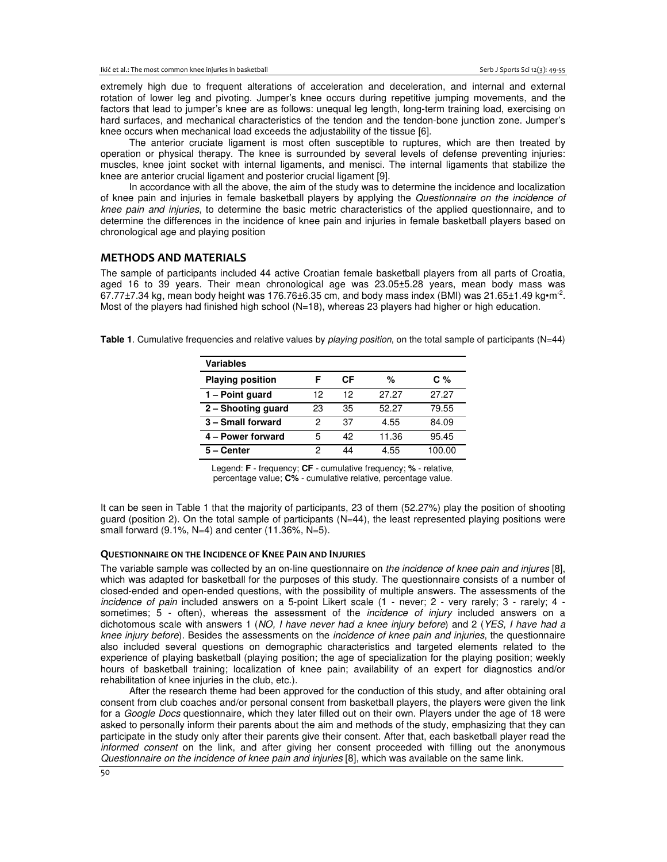extremely high due to frequent alterations of acceleration and deceleration, and internal and external rotation of lower leg and pivoting. Jumper's knee occurs during repetitive jumping movements, and the factors that lead to jumper's knee are as follows: unequal leg length, long-term training load, exercising on hard surfaces, and mechanical characteristics of the tendon and the tendon-bone junction zone. Jumper's knee occurs when mechanical load exceeds the adjustability of the tissue [6].

 The anterior cruciate ligament is most often susceptible to ruptures, which are then treated by operation or physical therapy. The knee is surrounded by several levels of defense preventing injuries: muscles, knee joint socket with internal ligaments, and menisci. The internal ligaments that stabilize the knee are anterior crucial ligament and posterior crucial ligament [9].

 In accordance with all the above, the aim of the study was to determine the incidence and localization of knee pain and injuries in female basketball players by applying the Questionnaire on the incidence of knee pain and injuries, to determine the basic metric characteristics of the applied questionnaire, and to determine the differences in the incidence of knee pain and injuries in female basketball players based on chronological age and playing position

## **METHODS AND MATERIALS**

The sample of participants included 44 active Croatian female basketball players from all parts of Croatia, aged 16 to 39 years. Their mean chronological age was 23.05±5.28 years, mean body mass was  $67.77 \pm 7.34$  kg, mean body height was 176.76 $\pm 6.35$  cm, and body mass index (BMI) was 21.65 $\pm$ 1.49 kg $\cdot$ m<sup>-2</sup>. Most of the players had finished high school (N=18), whereas 23 players had higher or high education.

**Table 1**. Cumulative frequencies and relative values by playing position, on the total sample of participants (N=44)

| Variables               |    |    |       |        |
|-------------------------|----|----|-------|--------|
| <b>Playing position</b> | F  | СF | %     | C %    |
| 1 - Point guard         | 12 | 12 | 27.27 | 27.27  |
| 2 – Shooting guard      | 23 | 35 | 52.27 | 79.55  |
| 3 - Small forward       | 2  | 37 | 4.55  | 84.09  |
| 4 - Power forward       | 5  | 42 | 11.36 | 95.45  |
| 5 – Center              | 2  | 44 | 4.55  | 100.00 |

Legend: **F** - frequency; **CF** - cumulative frequency; **%** - relative, percentage value; **C%** - cumulative relative, percentage value.

It can be seen in Table 1 that the majority of participants, 23 of them (52.27%) play the position of shooting guard (position 2). On the total sample of participants (N=44), the least represented playing positions were small forward  $(9.1\%, N=4)$  and center  $(11.36\%, N=5)$ .

#### **QUESTIONNAIRE ON THE INCIDENCE OF KNEE PAIN AND INJURIES**

The variable sample was collected by an on-line questionnaire on the incidence of knee pain and injures [8], which was adapted for basketball for the purposes of this study. The questionnaire consists of a number of closed-ended and open-ended questions, with the possibility of multiple answers. The assessments of the incidence of pain included answers on a 5-point Likert scale (1 - never; 2 - very rarely; 3 - rarely; 4 sometimes; 5 - often), whereas the assessment of the *incidence of injury* included answers on a dichotomous scale with answers 1 (NO, I have never had a knee injury before) and 2 (YES, I have had a knee injury before). Besides the assessments on the incidence of knee pain and injuries, the questionnaire also included several questions on demographic characteristics and targeted elements related to the experience of playing basketball (playing position; the age of specialization for the playing position; weekly hours of basketball training; localization of knee pain; availability of an expert for diagnostics and/or rehabilitation of knee injuries in the club, etc.).

 After the research theme had been approved for the conduction of this study, and after obtaining oral consent from club coaches and/or personal consent from basketball players, the players were given the link for a Google Docs questionnaire, which they later filled out on their own. Players under the age of 18 were asked to personally inform their parents about the aim and methods of the study, emphasizing that they can participate in the study only after their parents give their consent. After that, each basketball player read the informed consent on the link, and after giving her consent proceeded with filling out the anonymous Questionnaire on the incidence of knee pain and injuries [8], which was available on the same link.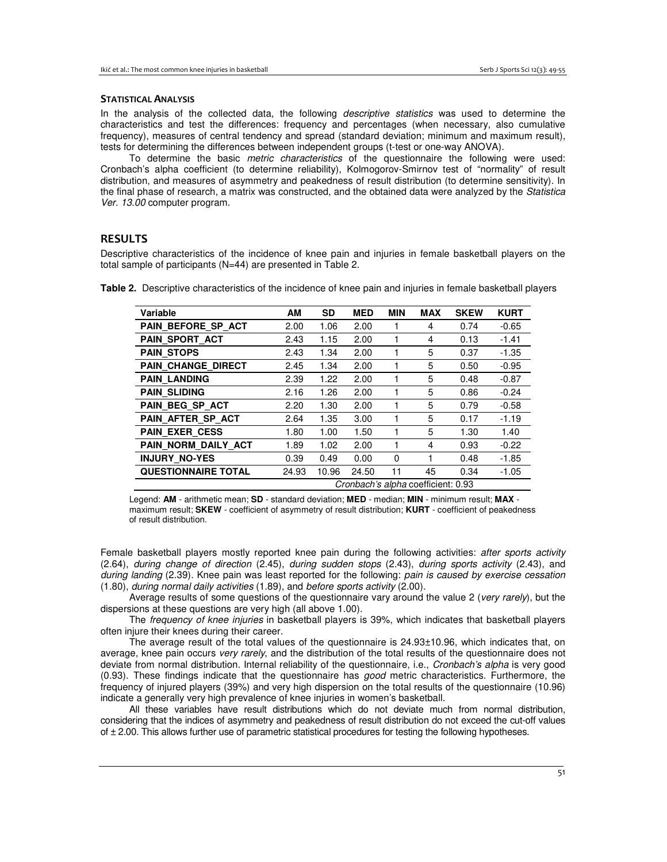#### **STATISTICAL ANALYSIS**

In the analysis of the collected data, the following *descriptive statistics* was used to determine the characteristics and test the differences: frequency and percentages (when necessary, also cumulative frequency), measures of central tendency and spread (standard deviation; minimum and maximum result), tests for determining the differences between independent groups (t-test or one-way ANOVA).

To determine the basic *metric characteristics* of the questionnaire the following were used: Cronbach's alpha coefficient (to determine reliability), Kolmogorov-Smirnov test of "normality" of result distribution, and measures of asymmetry and peakedness of result distribution (to determine sensitivity). In the final phase of research, a matrix was constructed, and the obtained data were analyzed by the Statistica Ver. 13.00 computer program.

## **RESULTS**

Descriptive characteristics of the incidence of knee pain and injuries in female basketball players on the total sample of participants (N=44) are presented in Table 2.

| Variable                   | AM                                 | <b>SD</b> | <b>MED</b> | <b>MIN</b> | <b>MAX</b> | <b>SKEW</b> | <b>KURT</b> |  |  |  |
|----------------------------|------------------------------------|-----------|------------|------------|------------|-------------|-------------|--|--|--|
| PAIN BEFORE SP_ACT         | 2.00                               | 1.06      | 2.00       |            | 4          | 0.74        | $-0.65$     |  |  |  |
| PAIN SPORT ACT             | 2.43                               | 1.15      | 2.00       |            | 4          | 0.13        | $-1.41$     |  |  |  |
| <b>PAIN STOPS</b>          | 2.43                               | 1.34      | 2.00       |            | 5          | 0.37        | $-1.35$     |  |  |  |
| <b>PAIN CHANGE DIRECT</b>  | 2.45                               | 1.34      | 2.00       |            | 5          | 0.50        | $-0.95$     |  |  |  |
| <b>PAIN LANDING</b>        | 2.39                               | 1.22      | 2.00       |            | 5          | 0.48        | $-0.87$     |  |  |  |
| <b>PAIN_SLIDING</b>        | 2.16                               | 1.26      | 2.00       |            | 5          | 0.86        | $-0.24$     |  |  |  |
| PAIN BEG SP ACT            | 2.20                               | 1.30      | 2.00       |            | 5          | 0.79        | $-0.58$     |  |  |  |
| PAIN_AFTER_SP_ACT          | 2.64                               | 1.35      | 3.00       |            | 5          | 0.17        | $-1.19$     |  |  |  |
| <b>PAIN EXER CESS</b>      | 1.80                               | 1.00      | 1.50       |            | 5          | 1.30        | 1.40        |  |  |  |
| PAIN NORM DAILY ACT        | 1.89                               | 1.02      | 2.00       |            | 4          | 0.93        | $-0.22$     |  |  |  |
| <b>INJURY NO-YES</b>       | 0.39                               | 0.49      | 0.00       | $\Omega$   |            | 0.48        | $-1.85$     |  |  |  |
| <b>QUESTIONNAIRE TOTAL</b> | 24.93                              | 10.96     | 24.50      | 11         | 45         | 0.34        | $-1.05$     |  |  |  |
|                            | Cronbach's alpha coefficient: 0.93 |           |            |            |            |             |             |  |  |  |

**Table 2.** Descriptive characteristics of the incidence of knee pain and injuries in female basketball players

 Legend: **AM** - arithmetic mean; **SD** - standard deviation; **MED** - median; **MIN** - minimum result; **MAX** maximum result; **SKEW** - coefficient of asymmetry of result distribution; **KURT** - coefficient of peakedness of result distribution.

Female basketball players mostly reported knee pain during the following activities: after sports activity (2.64), during change of direction (2.45), during sudden stops (2.43), during sports activity (2.43), and during landing (2.39). Knee pain was least reported for the following: pain is caused by exercise cessation (1.80), during normal daily activities (1.89), and before sports activity (2.00).

Average results of some questions of the questionnaire vary around the value 2 (very rarely), but the dispersions at these questions are very high (all above 1.00).

 The frequency of knee injuries in basketball players is 39%, which indicates that basketball players often injure their knees during their career.

 The average result of the total values of the questionnaire is 24.93±10.96, which indicates that, on average, knee pain occurs very rarely, and the distribution of the total results of the questionnaire does not deviate from normal distribution. Internal reliability of the questionnaire, i.e., Cronbach's alpha is very good (0.93). These findings indicate that the questionnaire has good metric characteristics. Furthermore, the frequency of injured players (39%) and very high dispersion on the total results of the questionnaire (10.96) indicate a generally very high prevalence of knee injuries in women's basketball.

 All these variables have result distributions which do not deviate much from normal distribution, considering that the indices of asymmetry and peakedness of result distribution do not exceed the cut-off values of  $\pm$  2.00. This allows further use of parametric statistical procedures for testing the following hypotheses.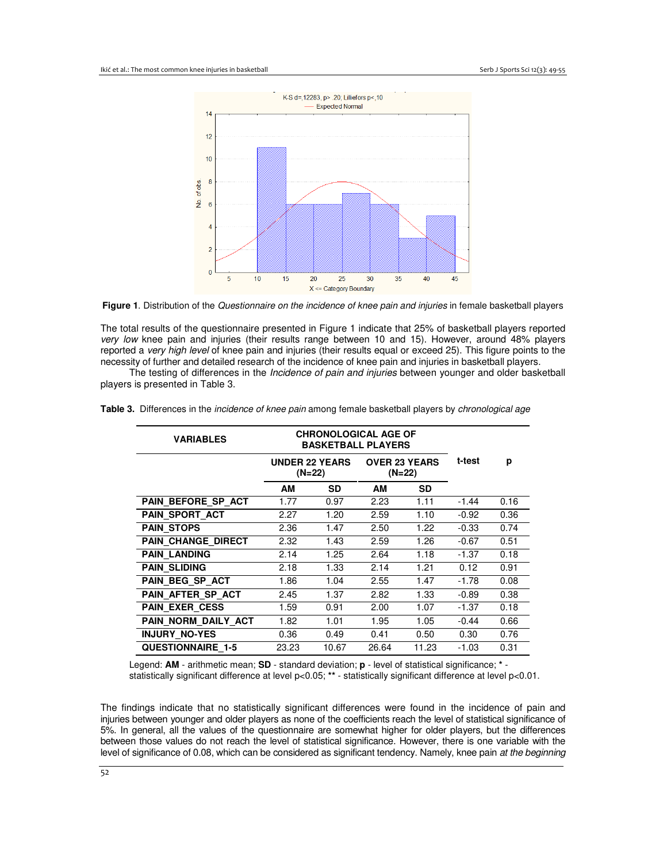

**Figure 1**. Distribution of the Questionnaire on the incidence of knee pain and injuries in female basketball players

The total results of the questionnaire presented in Figure 1 indicate that 25% of basketball players reported very low knee pain and injuries (their results range between 10 and 15). However, around 48% players reported a very high level of knee pain and injuries (their results equal or exceed 25). This figure points to the necessity of further and detailed research of the incidence of knee pain and injuries in basketball players.

The testing of differences in the *Incidence of pain and injuries* between younger and older basketball players is presented in Table 3.

| <b><i>VARIABLES</i></b>   |                                   | <b>CHRONOLOGICAL AGE OF</b><br><b>BASKETBALL PLAYERS</b> |      | t-test    | р       |                                |
|---------------------------|-----------------------------------|----------------------------------------------------------|------|-----------|---------|--------------------------------|
|                           | <b>UNDER 22 YEARS</b><br>$(N=22)$ |                                                          |      |           |         | <b>OVER 23 YEARS</b><br>(N=22) |
|                           | AМ                                | <b>SD</b>                                                | AM   | <b>SD</b> |         |                                |
| PAIN BEFORE SP ACT        | 1.77                              | 0.97                                                     | 2.23 | 1.11      | $-1.44$ | 0.16                           |
| <b>PAIN SPORT ACT</b>     | 2.27                              | 1.20                                                     | 2.59 | 1.10      | $-0.92$ | 0.36                           |
| <b>PAIN STOPS</b>         | 2.36                              | 1.47                                                     | 2.50 | 1.22      | $-0.33$ | 0.74                           |
| <b>PAIN CHANGE DIRECT</b> | 2.32                              | 1.43                                                     | 2.59 | 1.26      | $-0.67$ | 0.51                           |
| <b>PAIN LANDING</b>       | 2.14                              | 1.25                                                     | 2.64 | 1.18      | $-1.37$ | 0.18                           |

**PAIN SLIDING** 2.18 1.33 2.14 1.21 0.12 0.91 **PAIN BEG SP ACT** 1.86 1.04 2.55 1.47 -1.78 0.08 **PAIN AFTER SP ACT** 2.45 1.37 2.82 1.33 -0.89 0.38 **PAIN EXER CESS** 1.59 0.91 2.00 1.07 -1.37 0.18 **PAIN\_NORM\_DAILY\_ACT** 1.82 1.01 1.95 1.05 -0.44 0.66 **INJURY\_NO-YES** 0.36 0.49 0.41 0.50 0.30 0.76 **QUESTIONNAIRE\_1-5** 23.23 10.67 26.64 11.23 -1.03 0.31

|  |  | Table 3. Differences in the <i>incidence of knee pain</i> among female basketball players by <i>chronological age</i> |  |  |
|--|--|-----------------------------------------------------------------------------------------------------------------------|--|--|
|  |  |                                                                                                                       |  |  |

Legend: **AM** - arithmetic mean; **SD** - standard deviation; **p** - level of statistical significance; **\*** statistically significant difference at level p<0.05; **\*\*** - statistically significant difference at level p<0.01.

The findings indicate that no statistically significant differences were found in the incidence of pain and injuries between younger and older players as none of the coefficients reach the level of statistical significance of 5%. In general, all the values of the questionnaire are somewhat higher for older players, but the differences between those values do not reach the level of statistical significance. However, there is one variable with the level of significance of 0.08, which can be considered as significant tendency. Namely, knee pain at the beginning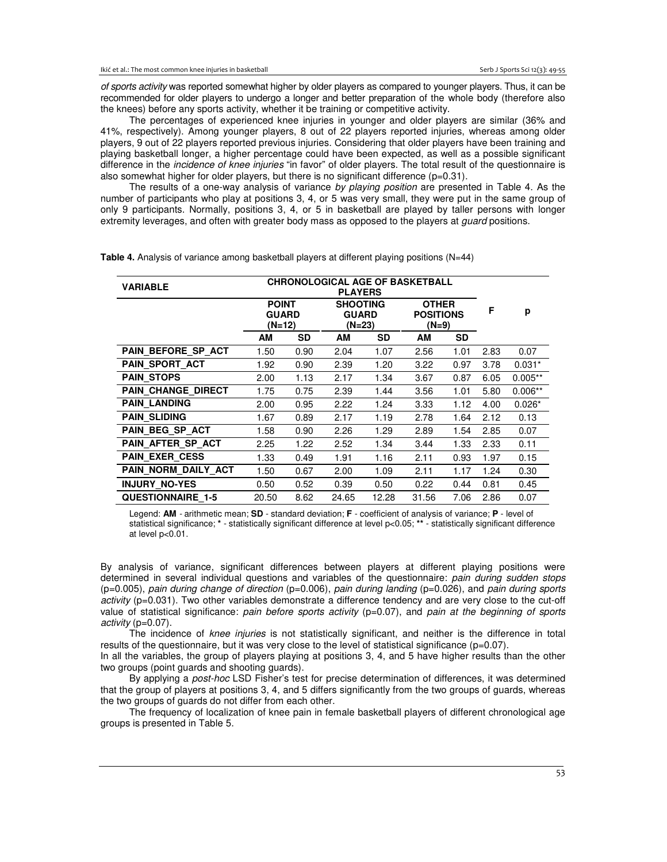of sports activity was reported somewhat higher by older players as compared to younger players. Thus, it can be recommended for older players to undergo a longer and better preparation of the whole body (therefore also the knees) before any sports activity, whether it be training or competitive activity.

 The percentages of experienced knee injuries in younger and older players are similar (36% and 41%, respectively). Among younger players, 8 out of 22 players reported injuries, whereas among older players, 9 out of 22 players reported previous injuries. Considering that older players have been training and playing basketball longer, a higher percentage could have been expected, as well as a possible significant difference in the *incidence of knee injuries* "in favor" of older players. The total result of the questionnaire is also somewhat higher for older players, but there is no significant difference  $(p=0.31)$ .

The results of a one-way analysis of variance by playing position are presented in Table 4. As the number of participants who play at positions 3, 4, or 5 was very small, they were put in the same group of only 9 participants. Normally, positions 3, 4, or 5 in basketball are played by taller persons with longer extremity leverages, and often with greater body mass as opposed to the players at *guard* positions.

| <b>CHRONOLOGICAL AGE OF BASKETBALL</b><br><b>VARIABLE</b><br><b>PLAYERS</b> |                                        |           |                                             |           |                                             |      |      |           |
|-----------------------------------------------------------------------------|----------------------------------------|-----------|---------------------------------------------|-----------|---------------------------------------------|------|------|-----------|
|                                                                             | <b>POINT</b><br><b>GUARD</b><br>(N=12) |           | <b>SHOOTING</b><br><b>GUARD</b><br>$(N=23)$ |           | <b>OTHER</b><br><b>POSITIONS</b><br>$(N=9)$ |      | F    | p         |
|                                                                             | AM                                     | <b>SD</b> | AM                                          | <b>SD</b> | AM                                          | SD   |      |           |
| PAIN BEFORE SP_ACT                                                          | 1.50                                   | 0.90      | 2.04                                        | 1.07      | 2.56                                        | 1.01 | 2.83 | 0.07      |
| PAIN SPORT ACT                                                              | 1.92                                   | 0.90      | 2.39                                        | 1.20      | 3.22                                        | 0.97 | 3.78 | $0.031*$  |
| <b>PAIN STOPS</b>                                                           | 2.00                                   | 1.13      | 2.17                                        | 1.34      | 3.67                                        | 0.87 | 6.05 | $0.005**$ |
| <b>PAIN CHANGE DIRECT</b>                                                   | 1.75                                   | 0.75      | 2.39                                        | 1.44      | 3.56                                        | 1.01 | 5.80 | $0.006**$ |
| <b>PAIN LANDING</b>                                                         | 2.00                                   | 0.95      | 2.22                                        | 1.24      | 3.33                                        | 1.12 | 4.00 | $0.026*$  |
| <b>PAIN_SLIDING</b>                                                         | 1.67                                   | 0.89      | 2.17                                        | 1.19      | 2.78                                        | 1.64 | 2.12 | 0.13      |
| PAIN BEG SP ACT                                                             | 1.58                                   | 0.90      | 2.26                                        | 1.29      | 2.89                                        | 1.54 | 2.85 | 0.07      |
| PAIN AFTER SP ACT                                                           | 2.25                                   | 1.22      | 2.52                                        | 1.34      | 3.44                                        | 1.33 | 2.33 | 0.11      |
| <b>PAIN EXER CESS</b>                                                       | 1.33                                   | 0.49      | 1.91                                        | 1.16      | 2.11                                        | 0.93 | 1.97 | 0.15      |
| PAIN NORM DAILY ACT                                                         | 1.50                                   | 0.67      | 2.00                                        | 1.09      | 2.11                                        | 1.17 | 1.24 | 0.30      |
| <b>INJURY NO-YES</b>                                                        | 0.50                                   | 0.52      | 0.39                                        | 0.50      | 0.22                                        | 0.44 | 0.81 | 0.45      |
| <b>QUESTIONNAIRE 1-5</b>                                                    | 20.50                                  | 8.62      | 24.65                                       | 12.28     | 31.56                                       | 7.06 | 2.86 | 0.07      |

**Table 4.** Analysis of variance among basketball players at different playing positions (N=44)

Legend: **AM** - arithmetic mean; **SD** - standard deviation; **F** - coefficient of analysis of variance; **P** - level of statistical significance; **\*** - statistically significant difference at level p<0.05; **\*\*** - statistically significant difference at level p<0.01.

By analysis of variance, significant differences between players at different playing positions were determined in several individual questions and variables of the questionnaire: pain during sudden stops  $(p=0.005)$ , pain during change of direction  $(p=0.006)$ , pain during landing  $(p=0.026)$ , and pain during sports activity (p=0.031). Two other variables demonstrate a difference tendency and are very close to the cut-off value of statistical significance: pain before sports activity  $(p=0.07)$ , and pain at the beginning of sports activity (p=0.07).

The incidence of knee injuries is not statistically significant, and neither is the difference in total results of the questionnaire, but it was very close to the level of statistical significance ( $p=0.07$ ).

In all the variables, the group of players playing at positions 3, 4, and 5 have higher results than the other two groups (point guards and shooting guards).

 By applying a post-hoc LSD Fisher's test for precise determination of differences, it was determined that the group of players at positions 3, 4, and 5 differs significantly from the two groups of guards, whereas the two groups of guards do not differ from each other.

 The frequency of localization of knee pain in female basketball players of different chronological age groups is presented in Table 5.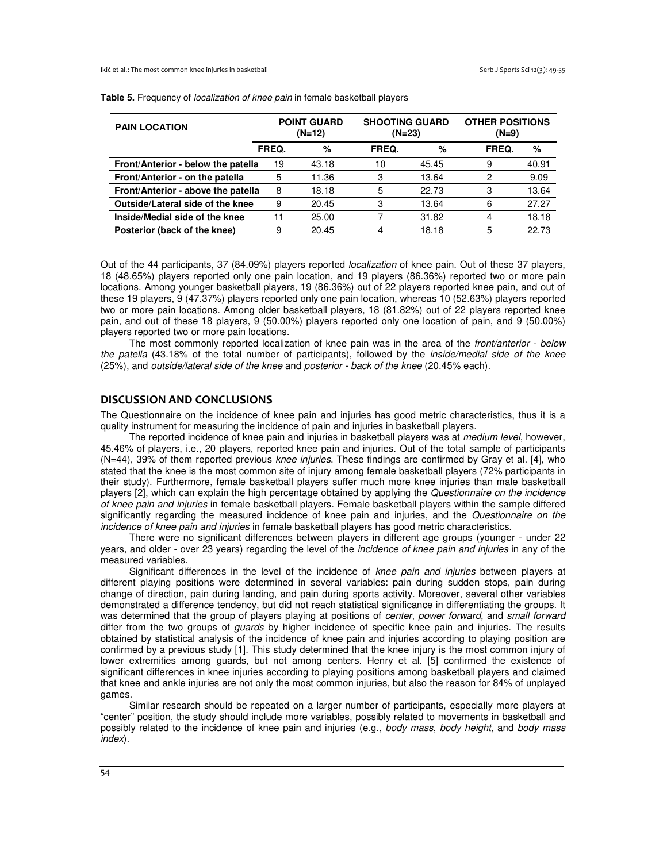| <b>PAIN LOCATION</b>               | <b>POINT GUARD</b><br>$(N=12)$ |       | <b>SHOOTING GUARD</b><br>$(N=23)$ |       | <b>OTHER POSITIONS</b><br>$(N=9)$ |       |  |
|------------------------------------|--------------------------------|-------|-----------------------------------|-------|-----------------------------------|-------|--|
|                                    | FREQ.                          | %     | FREQ.                             | %     | FREQ.                             | %     |  |
| Front/Anterior - below the patella | 19                             | 43.18 | 10                                | 45.45 | 9                                 | 40.91 |  |
| Front/Anterior - on the patella    | 5                              | 11.36 | 3                                 | 13.64 | 2                                 | 9.09  |  |
| Front/Anterior - above the patella | 8                              | 18.18 | 5                                 | 22.73 | 3                                 | 13.64 |  |
| Outside/Lateral side of the knee   | 9                              | 20.45 | 3                                 | 13.64 | 6                                 | 27.27 |  |
| Inside/Medial side of the knee     | 11                             | 25.00 |                                   | 31.82 | 4                                 | 18.18 |  |
| Posterior (back of the knee)       | 9                              | 20.45 | 4                                 | 18.18 | 5                                 | 22.73 |  |

**Table 5.** Frequency of localization of knee pain in female basketball players

Out of the 44 participants, 37 (84.09%) players reported *localization* of knee pain. Out of these 37 players, 18 (48.65%) players reported only one pain location, and 19 players (86.36%) reported two or more pain locations. Among younger basketball players, 19 (86.36%) out of 22 players reported knee pain, and out of these 19 players, 9 (47.37%) players reported only one pain location, whereas 10 (52.63%) players reported two or more pain locations. Among older basketball players, 18 (81.82%) out of 22 players reported knee pain, and out of these 18 players, 9 (50.00%) players reported only one location of pain, and 9 (50.00%) players reported two or more pain locations.

The most commonly reported localization of knee pain was in the area of the front/anterior - below the patella (43.18% of the total number of participants), followed by the inside/medial side of the knee (25%), and outside/lateral side of the knee and posterior - back of the knee (20.45% each).

## **DISCUSSION AND CONCLUSIONS**

The Questionnaire on the incidence of knee pain and injuries has good metric characteristics, thus it is a quality instrument for measuring the incidence of pain and injuries in basketball players.

The reported incidence of knee pain and injuries in basketball players was at *medium level*, however, 45.46% of players, i.e., 20 players, reported knee pain and injuries. Out of the total sample of participants (N=44), 39% of them reported previous knee injuries. These findings are confirmed by Gray et al. [4], who stated that the knee is the most common site of injury among female basketball players (72% participants in their study). Furthermore, female basketball players suffer much more knee injuries than male basketball players [2], which can explain the high percentage obtained by applying the Questionnaire on the incidence of knee pain and injuries in female basketball players. Female basketball players within the sample differed significantly regarding the measured incidence of knee pain and injuries, and the Questionnaire on the incidence of knee pain and injuries in female basketball players has good metric characteristics.

 There were no significant differences between players in different age groups (younger - under 22 years, and older - over 23 years) regarding the level of the incidence of knee pain and injuries in any of the measured variables.

Significant differences in the level of the incidence of knee pain and injuries between players at different playing positions were determined in several variables: pain during sudden stops, pain during change of direction, pain during landing, and pain during sports activity. Moreover, several other variables demonstrated a difference tendency, but did not reach statistical significance in differentiating the groups. It was determined that the group of players playing at positions of center, power forward, and small forward differ from the two groups of *guards* by higher incidence of specific knee pain and injuries. The results obtained by statistical analysis of the incidence of knee pain and injuries according to playing position are confirmed by a previous study [1]. This study determined that the knee injury is the most common injury of lower extremities among guards, but not among centers. Henry et al. [5] confirmed the existence of significant differences in knee injuries according to playing positions among basketball players and claimed that knee and ankle injuries are not only the most common injuries, but also the reason for 84% of unplayed games.

 Similar research should be repeated on a larger number of participants, especially more players at "center" position, the study should include more variables, possibly related to movements in basketball and possibly related to the incidence of knee pain and injuries (e.g., body mass, body height, and body mass index).